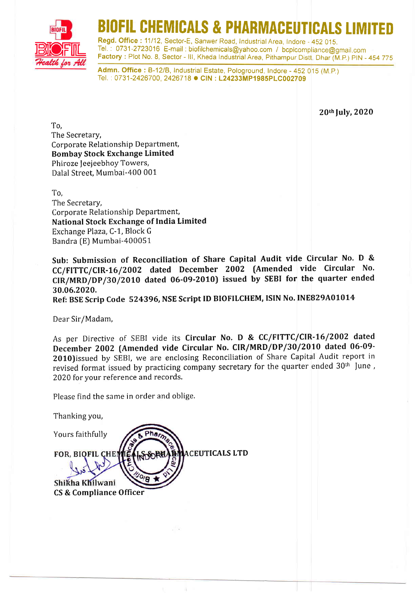

# FIL CHEMICALS & PHARMACEUTICALS LIM

Regd. Office: 11/12, Sector-E, Sanwer Road, Industrial Area, Indore - 452 015 Tel. : 0731-2723016 E-mail : biofilchemicals@yahoo.com / bcplcompliance@gmail,com Factory: Plot No. 8, Sector - III, Kheda Industrial Area, Pithampur Distt, Dhar (M.P.) PIN - 454 775

Admn. Office : B-12/B, Industrial Estate, Pologround, Indore - 452 015 (M.P.) Tel.: 0731-2426700, 2426718 · CIN: L24233MP1985PLC002709

20th July, 2020

To, The Secretary, Corporate Relationship Department, Bombay Stock Exchange Limited Phiroze Jeejeebhoy Towers, Dalal Street, Mumbai-400 001

To, The Secretary, Corporate Relationship Department, National Stock Exchange of India Limited Exchange Plaza, C-1, Block <sup>G</sup> Bandra [E) Mumbai-400051

Sub: Submission of Reconciliation of Share Capital Audit vide Circular No. D & CC/FITTC/CIR-16/2002 dated December 2002 (Amended vide Circular No. CIR/MRD/Dp/3O/2010 dated O6-09-20t0) issued by SEBI for the quarter ended 30.06.2020.

Ref: BSE Scrip Code 524396, NSE Script ID BIOFILCHEM, ISIN No. INE829A01014

Dear Sir/Madam,

As per Directive of SEBI vide its Circular No. D & CC/FITTC/CIR-16/2002 dated December 2002 (Amended vide Circular No. CIR/MRD/DP/30/2010 dated 06-09- 2010)issued by SEBI, we are enclosing Reconciliation of Share Capital Audit report in revised format issued by practicing company secretary for the quarter ended 30<sup>th</sup> June, 2020 for your reference and records.

Please find the same in order and oblige.

Thanking you,

Yours faithfully **ACEUTICALS LTD FOR, BIOFIL CHE!** Shikha Khilwani CS & Compliance Officer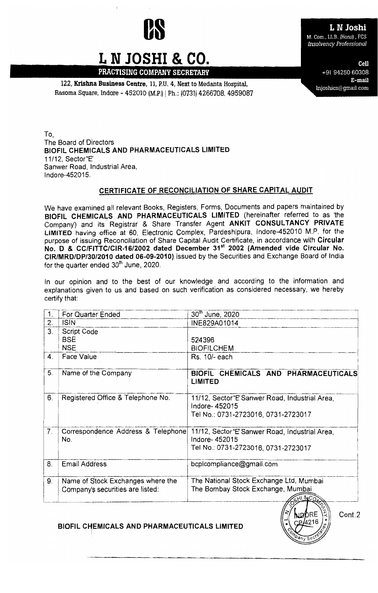

### L N Joshi M. Com., LL.B. (Hons), FCS **Insolvency Professional**

L N JOSHI & CO. PRACTISING COMPANY SECRETARY

122. Krishna Business Centre, 11, P.U. 4, Next to Medanta Hospital, Rasoma Square, Indore - 452010 (M.P.) | Ph.: (0731) 4266708, 4959087

Cell +91 94250 60308 E-mail Injoshics@gmail.com

To. The Board of Directors BIOFIL CHEMICALS AND PHARMACEUTICALS LIMITED 11/12. Sector "E" Sanwer Road, Industrial Area, Indore-452015.

#### CERTIFICATE OF RECONCILIATION OF SHARE CAPITAL AUDIT

We have examined all relevant Books, Registers, Forms, Documents and papers maintained by BIOFIL CHEMICALS AND PHARMACEUTICALS LIMITED (hereinafter referred to as the Company) and its Registrar & Share Transfer Agent ANKIT CONSULTANCY PRIVATE LIMITED having office at 60, Electronic Complex, Pardeshipura, Indore-452010 M.P. for the purpose of issuing Reconciliation of Share Capital Audit Certificate, in accordance with Circular No. D & CC/FITTC/CIR-16/2002 dated December 31<sup>st</sup> 2002 (Amended vide Circular No. CIR/MRD/DP/30/2010 dated 06-09-2010) issued by the Securities and Exchange Board of India for the quarter ended 30<sup>th</sup> June, 2020.

In our opinion and to the best of our knowledge and according to the information and explanations given to us and based on such verification as considered necessary, we hereby certify that:

| $\mathbf 1$ | For Quarter Ended                         | 30th June, 2020                                                                                         |
|-------------|-------------------------------------------|---------------------------------------------------------------------------------------------------------|
| 2.          | <b>ISIN</b>                               | INE829A01014                                                                                            |
| 3.          | <b>Script Code</b>                        |                                                                                                         |
|             | <b>BSE</b>                                | 524396                                                                                                  |
|             | <b>NSE</b>                                | <b>BIOFILCHEM</b>                                                                                       |
| 4.          | Face Value                                | Rs. 10/- each                                                                                           |
| 5.          | Name of the Company                       | BIOFIL CHEMICALS AND PHARMACEUTICALS<br>LIMITED                                                         |
| 6.          | Registered Office & Telephone No.         | 11/12, Sector "E' Sanwer Road, Industrial Area,<br>Indore-452015<br>Tel No.: 0731-2723016, 0731-2723017 |
| 7.          | Correspondence Address & Telephone<br>No. | 11/12, Sector "E' Sanwer Road, Industrial Area,<br>Indore-452015<br>Tel No.: 0731-2723016, 0731-2723017 |
| 8.          | <b>Email Address</b>                      | bcplcompliance@gmail.com                                                                                |
| 9.          | Name of Stock Exchanges where the         | The National Stock Exchange Ltd, Mumbai                                                                 |
|             | Company's securities are listed:          | The Bombay Stock Exchange, Mumbai                                                                       |
|             |                                           | H184C                                                                                                   |

#### BIOFIL CHEMICALS AND PHARMACEUTICALS LIMITED

Cont.2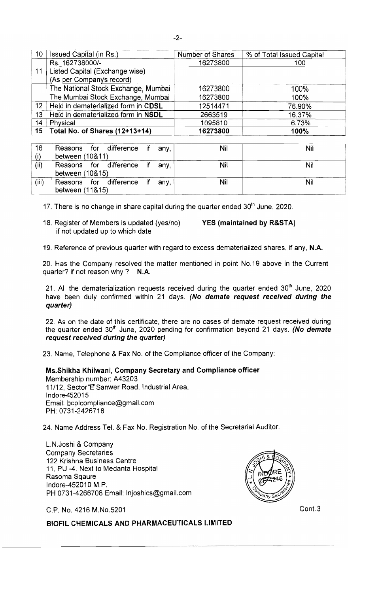| 10 <sub>1</sub> | Issued Capital (in Rs.)             | Number of Shares | % of Total Issued Capital |
|-----------------|-------------------------------------|------------------|---------------------------|
|                 | Rs. 162738000/-                     | 16273800         | 100                       |
| 11              | Listed Capital (Exchange wise)      |                  |                           |
|                 | (As per Company's record)           |                  |                           |
|                 | The National Stock Exchange, Mumbai | 16273800         | 100%                      |
|                 | The Mumbai Stock Exchange, Mumbai   | 16273800         | 100%                      |
| 12 <sub>1</sub> | Held in dematerialized form in CDSL | 12514471         | 76.90%                    |
| 13              | Held in dematerialized form in NSDL | 2663519          | 16.37%                    |
| 14              | Physical                            | 1095810          | 6.73%                     |
| 15 <sub>1</sub> | Total No. of Shares (12+13+14)      | 16273800         | 100%                      |
|                 |                                     |                  |                           |

| 16    | Reasons for difference if any,                    |  | Nil | Nil |
|-------|---------------------------------------------------|--|-----|-----|
| (i)   | between (10&11)                                   |  |     |     |
| (ii)  | Reasons for difference if any,<br>between (10&15) |  | Nil | Nil |
| (iii) | Reasons for difference if any,<br>between (11&15) |  | Nil | Nil |

17. There is no change in share capital during the quarter ended  $30<sup>th</sup>$  June, 2020.

18. Register of Members is updated (yes/no) YES (maintained by R&STA) if not updated up to which date

19. Reference of previous quarter with regard to excess dematerialized shares, if any, N.A.

20. Has the Company resolved the matter mentioned in point No.19 above in the Current quarter? if not reason why? N.A.

21. All the dematerialization requests received during the quarter ended  $30<sup>th</sup>$  June, 2020 have been duly confirmed within 21 days. (No demate request received during the quarter)

22. As on the date of this certificate, there are no cases of demate request received during the quarter ended  $30<sup>th</sup>$  June, 2020 pending for confirmation beyond 21 days. (No demate request received during the quarter)

23. Name, Telephone & Fax No. of the Compliance officer of the Company:

#### Ms.Shikha Khilwani, Company Secretary and Compliance officer

Membership number: A43203 11/12, Sector "E' Sanwer Road, Industrial Area, Indore452015 Email: bcplcompliance@gmail.com PH: 0731-2426718

24. Name Address Tel. & Fax No. Registration No. of the Secretarial Auditor.

L.N.Joshi & Company Company Secretaries 122 Krishna Business Centre 11, PU -4, Next to Medanta Hospital Rasoma Sqaure Indore-452010 M.P. PH 0731-4266708 Email: Injoshics@gmail.com



C.P. No. 4216 M.No.5201 Cont.3

BIOFIL CHEMICALS AND PHARMACEUTICALS LIMITED ----------------~. ---.--~.~--..-------...----...--..- ..-.